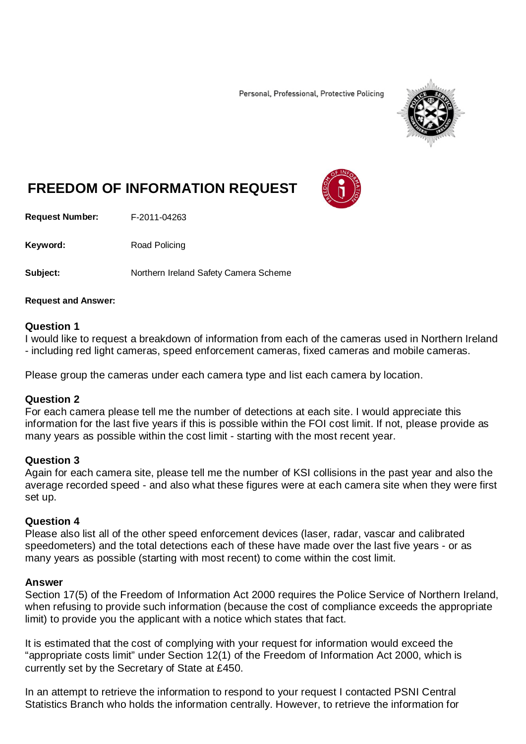Personal, Professional, Protective Policing



# **FREEDOM OF INFORMATION REQUEST**

**Request Number:** F-2011-04263

Keyword: Road Policing

**Subject:** Northern Ireland Safety Camera Scheme

#### **Request and Answer:**

#### **Question 1**

I would like to request a breakdown of information from each of the cameras used in Northern Ireland - including red light cameras, speed enforcement cameras, fixed cameras and mobile cameras.

Please group the cameras under each camera type and list each camera by location.

#### **Question 2**

For each camera please tell me the number of detections at each site. I would appreciate this information for the last five years if this is possible within the FOI cost limit. If not, please provide as many years as possible within the cost limit - starting with the most recent year.

#### **Question 3**

Again for each camera site, please tell me the number of KSI collisions in the past year and also the average recorded speed - and also what these figures were at each camera site when they were first set up.

#### **Question 4**

Please also list all of the other speed enforcement devices (laser, radar, vascar and calibrated speedometers) and the total detections each of these have made over the last five years - or as many years as possible (starting with most recent) to come within the cost limit.

#### **Answer**

Section 17(5) of the Freedom of Information Act 2000 requires the Police Service of Northern Ireland, when refusing to provide such information (because the cost of compliance exceeds the appropriate limit) to provide you the applicant with a notice which states that fact.

It is estimated that the cost of complying with your request for information would exceed the "appropriate costs limit" under Section 12(1) of the Freedom of Information Act 2000, which is currently set by the Secretary of State at £450.

In an attempt to retrieve the information to respond to your request I contacted PSNI Central Statistics Branch who holds the information centrally. However, to retrieve the information for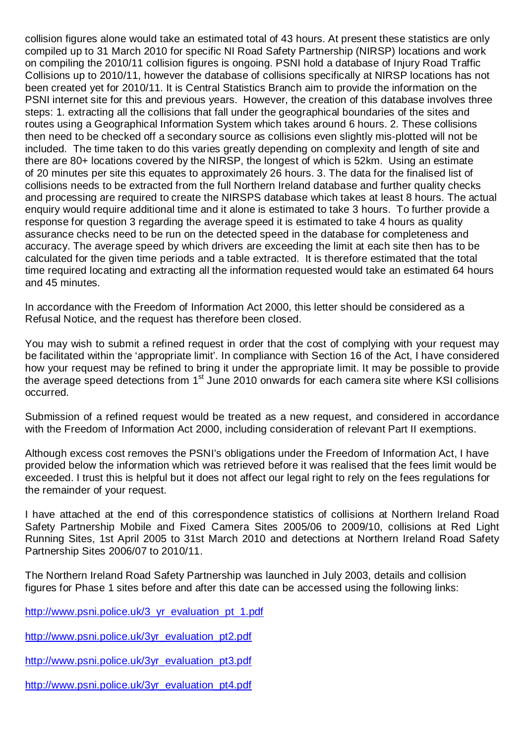collision figures alone would take an estimated total of 43 hours. At present these statistics are only compiled up to 31 March 2010 for specific NI Road Safety Partnership (NIRSP) locations and work on compiling the 2010/11 collision figures is ongoing. PSNI hold a database of Injury Road Traffic Collisions up to 2010/11, however the database of collisions specifically at NIRSP locations has not been created yet for 2010/11. It is Central Statistics Branch aim to provide the information on the PSNI internet site for this and previous years. However, the creation of this database involves three steps: 1. extracting all the collisions that fall under the geographical boundaries of the sites and routes using a Geographical Information System which takes around 6 hours. 2. These collisions then need to be checked off a secondary source as collisions even slightly mis-plotted will not be included. The time taken to do this varies greatly depending on complexity and length of site and there are 80+ locations covered by the NIRSP, the longest of which is 52km. Using an estimate of 20 minutes per site this equates to approximately 26 hours. 3. The data for the finalised list of collisions needs to be extracted from the full Northern Ireland database and further quality checks and processing are required to create the NIRSPS database which takes at least 8 hours. The actual enquiry would require additional time and it alone is estimated to take 3 hours. To further provide a response for question 3 regarding the average speed it is estimated to take 4 hours as quality assurance checks need to be run on the detected speed in the database for completeness and accuracy. The average speed by which drivers are exceeding the limit at each site then has to be calculated for the given time periods and a table extracted. It is therefore estimated that the total time required locating and extracting all the information requested would take an estimated 64 hours and 45 minutes.

In accordance with the Freedom of Information Act 2000, this letter should be considered as a Refusal Notice, and the request has therefore been closed.

You may wish to submit a refined request in order that the cost of complying with your request may be facilitated within the 'appropriate limit'. In compliance with Section 16 of the Act, I have considered how your request may be refined to bring it under the appropriate limit. It may be possible to provide the average speed detections from 1st June 2010 onwards for each camera site where KSI collisions occurred.

Submission of a refined request would be treated as a new request, and considered in accordance with the Freedom of Information Act 2000, including consideration of relevant Part II exemptions.

Although excess cost removes the PSNI's obligations under the Freedom of Information Act, I have provided below the information which was retrieved before it was realised that the fees limit would be exceeded. I trust this is helpful but it does not affect our legal right to rely on the fees regulations for the remainder of your request.

I have attached at the end of this correspondence statistics of collisions at Northern Ireland Road Safety Partnership Mobile and Fixed Camera Sites 2005/06 to 2009/10, collisions at Red Light Running Sites, 1st April 2005 to 31st March 2010 and detections at Northern Ireland Road Safety Partnership Sites 2006/07 to 2010/11.

The Northern Ireland Road Safety Partnership was launched in July 2003, details and collision figures for Phase 1 sites before and after this date can be accessed using the following links:

http://www.psni.police.uk/3 yr\_evaluation\_pt\_1.pdf

[http://www.psni.police.uk/3yr\\_evaluation\\_pt2.pdf](http://www.psni.police.uk/3yr_evaluation_pt2.pdf)

[http://www.psni.police.uk/3yr\\_evaluation\\_pt3.pdf](http://www.psni.police.uk/3yr_evaluation_pt3.pdf)

[http://www.psni.police.uk/3yr\\_evaluation\\_pt4.pdf](http://www.psni.police.uk/3yr_evaluation_pt4.pdf)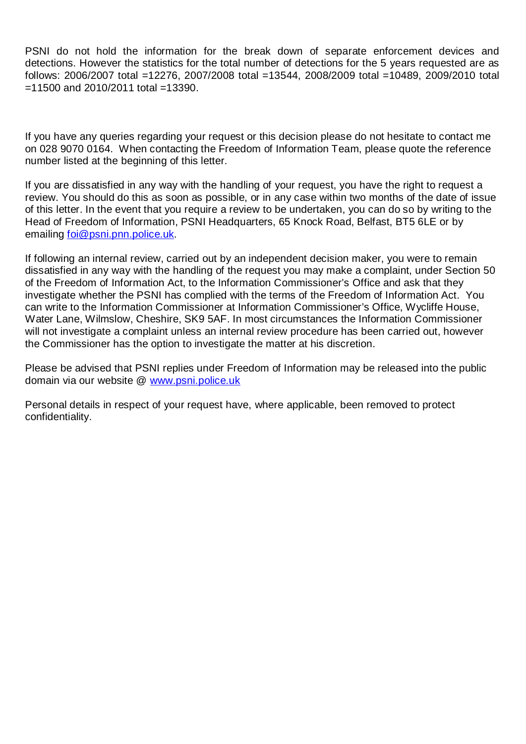PSNI do not hold the information for the break down of separate enforcement devices and detections. However the statistics for the total number of detections for the 5 years requested are as follows: 2006/2007 total =12276, 2007/2008 total =13544, 2008/2009 total =10489, 2009/2010 total =11500 and 2010/2011 total =13390.

If you have any queries regarding your request or this decision please do not hesitate to contact me on 028 9070 0164. When contacting the Freedom of Information Team, please quote the reference number listed at the beginning of this letter.

If you are dissatisfied in any way with the handling of your request, you have the right to request a review. You should do this as soon as possible, or in any case within two months of the date of issue of this letter. In the event that you require a review to be undertaken, you can do so by writing to the Head of Freedom of Information, PSNI Headquarters, 65 Knock Road, Belfast, BT5 6LE or by emailing [foi@psni.pnn.police.uk.](mailto:foi@psni.pnn.police.uk)

If following an internal review, carried out by an independent decision maker, you were to remain dissatisfied in any way with the handling of the request you may make a complaint, under Section 50 of the Freedom of Information Act, to the Information Commissioner's Office and ask that they investigate whether the PSNI has complied with the terms of the Freedom of Information Act. You can write to the Information Commissioner at Information Commissioner's Office, Wycliffe House, Water Lane, Wilmslow, Cheshire, SK9 5AF. In most circumstances the Information Commissioner will not investigate a complaint unless an internal review procedure has been carried out, however the Commissioner has the option to investigate the matter at his discretion.

Please be advised that PSNI replies under Freedom of Information may be released into the public domain via our website @ [www.psni.police.uk](http://www.psni.police.uk/)

Personal details in respect of your request have, where applicable, been removed to protect confidentiality.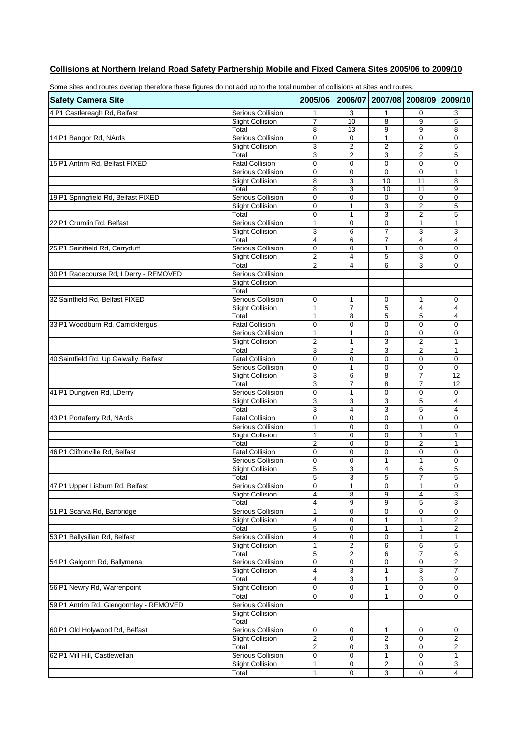#### **Collisions at Northern Ireland Road Safety Partnership Mobile and Fixed Camera Sites 2005/06 to 2009/10**

| Some sites and routes overlap therefore these figures do not add up to the total number of collisions at sites and routes. |                                              |                     |                              |                                 |                     |                              |
|----------------------------------------------------------------------------------------------------------------------------|----------------------------------------------|---------------------|------------------------------|---------------------------------|---------------------|------------------------------|
| <b>Safety Camera Site</b>                                                                                                  |                                              | 2005/06             |                              | 2006/07 2007/08 2008/09 2009/10 |                     |                              |
| 4 P1 Castlereagh Rd, Belfast                                                                                               | Serious Collision                            | 1                   | 3                            | 1                               | 0                   | 3                            |
|                                                                                                                            | <b>Slight Collision</b>                      | $\overline{7}$      | 10                           | 8                               | 9                   | 5                            |
|                                                                                                                            | Total                                        | 8                   | 13                           | 9                               | 9                   | 8                            |
| 14 P1 Bangor Rd, NArds                                                                                                     | <b>Serious Collision</b>                     | $\mathbf 0$         | 0                            | 1                               | 0                   | 0                            |
|                                                                                                                            | <b>Slight Collision</b>                      | 3                   | $\overline{2}$               | $\overline{2}$                  | $\overline{2}$      | 5                            |
|                                                                                                                            | Total                                        | 3                   | $\overline{2}$               | 3                               | $\overline{2}$      | 5                            |
| 15 P1 Antrim Rd, Belfast FIXED                                                                                             | <b>Fatal Collision</b>                       | $\mathbf 0$         | $\mathbf 0$                  | $\mathbf 0$                     | $\mathbf 0$         | $\mathbf 0$                  |
|                                                                                                                            | Serious Collision<br><b>Slight Collision</b> | $\mathbf 0$<br>8    | 0<br>3                       | $\mathbf 0$<br>10               | $\mathbf 0$<br>11   | $\mathbf{1}$                 |
|                                                                                                                            | Total                                        | 8                   | 3                            | 10                              | 11                  | 8<br>9                       |
| 19 P1 Springfield Rd, Belfast FIXED                                                                                        | <b>Serious Collision</b>                     | 0                   | $\mathbf 0$                  | $\mathbf 0$                     | $\mathbf 0$         | $\mathbf 0$                  |
|                                                                                                                            | <b>Slight Collision</b>                      | 0                   | 1                            | 3                               | $\overline{2}$      | 5                            |
|                                                                                                                            | Total                                        | 0                   | $\mathbf{1}$                 | 3                               | $\overline{c}$      | 5                            |
| 22 P1 Crumlin Rd, Belfast                                                                                                  | Serious Collision                            | $\mathbf{1}$        | 0                            | $\mathbf 0$                     | 1                   | 1                            |
|                                                                                                                            | <b>Slight Collision</b>                      | 3                   | 6                            | $\overline{7}$                  | 3                   | 3                            |
|                                                                                                                            | Total                                        | 4                   | 6                            | 7                               | 4                   | 4                            |
| 25 P1 Saintfield Rd, Carryduff                                                                                             | <b>Serious Collision</b>                     | 0                   | $\mathbf 0$                  | 1                               | 0                   | $\mathbf 0$                  |
|                                                                                                                            | <b>Slight Collision</b>                      | $\overline{c}$      | $\overline{\mathbf{4}}$      | 5                               | 3                   | $\mathbf 0$                  |
|                                                                                                                            | Total                                        | 2                   | $\overline{4}$               | 6                               | 3                   | $\mathbf 0$                  |
| 30 P1 Racecourse Rd, LDerry - REMOVED                                                                                      | Serious Collision                            |                     |                              |                                 |                     |                              |
|                                                                                                                            | <b>Slight Collision</b>                      |                     |                              |                                 |                     |                              |
|                                                                                                                            | Total                                        |                     |                              |                                 |                     |                              |
| 32 Saintfield Rd, Belfast FIXED                                                                                            | <b>Serious Collision</b>                     | $\mathbf 0$         | 1<br>$\overline{7}$          | 0                               | 1                   | 0                            |
|                                                                                                                            | <b>Slight Collision</b><br>Total             | $\mathbf{1}$<br>1   | 8                            | 5<br>5                          | $\overline{4}$<br>5 | 4<br>4                       |
| 33 P1 Woodburn Rd, Carrickfergus                                                                                           | <b>Fatal Collision</b>                       | $\mathbf 0$         | $\mathbf 0$                  | $\mathbf 0$                     | $\mathbf 0$         | $\mathbf 0$                  |
|                                                                                                                            | Serious Collision                            | 1                   | 1                            | $\mathbf 0$                     | 0                   | 0                            |
|                                                                                                                            | <b>Slight Collision</b>                      | $\overline{c}$      | $\mathbf{1}$                 | 3                               | $\overline{c}$      | $\mathbf{1}$                 |
|                                                                                                                            | Total                                        | 3                   | $\overline{2}$               | 3                               | $\overline{2}$      | 1                            |
| 40 Saintfield Rd, Up Galwally, Belfast                                                                                     | <b>Fatal Collision</b>                       | $\mathbf 0$         | $\mathbf 0$                  | $\mathbf 0$                     | $\mathbf 0$         | $\mathbf 0$                  |
|                                                                                                                            | Serious Collision                            | 0                   | 1                            | $\mathbf 0$                     | 0                   | $\mathbf 0$                  |
|                                                                                                                            | <b>Slight Collision</b>                      | 3                   | 6                            | 8                               | $\overline{7}$      | 12                           |
|                                                                                                                            | Total                                        | 3                   | $\overline{7}$               | 8                               | $\overline{7}$      | 12                           |
| 41 P1 Dungiven Rd, LDerry                                                                                                  | Serious Collision                            | $\mathbf 0$         | 1                            | $\mathbf 0$                     | 0                   | 0                            |
|                                                                                                                            | <b>Slight Collision</b>                      | 3                   | 3                            | 3                               | 5                   | 4                            |
|                                                                                                                            | Total                                        | 3                   | $\overline{4}$               | 3                               | 5                   | 4                            |
| 43 P1 Portaferry Rd, NArds                                                                                                 | <b>Fatal Collision</b>                       | $\mathbf 0$         | $\mathbf 0$                  | $\mathbf 0$                     | 0                   | $\mathbf 0$                  |
|                                                                                                                            | Serious Collision                            | $\mathbf{1}$        | $\mathbf 0$<br>0             | $\mathbf 0$<br>$\mathbf 0$      | 1                   | $\mathbf 0$                  |
|                                                                                                                            | <b>Slight Collision</b><br>Total             | 1<br>$\overline{2}$ | $\mathbf 0$                  | $\Omega$                        | 1<br>$\overline{2}$ | 1<br>$\mathbf{1}$            |
| 46 P1 Cliftonville Rd, Belfast                                                                                             | <b>Fatal Collision</b>                       | $\mathbf 0$         | $\mathbf 0$                  | $\mathbf 0$                     | $\mathbf 0$         | $\mathbf 0$                  |
|                                                                                                                            | Serious Collision                            | $\mathbf 0$         | $\mathbf 0$                  | 1                               | 1                   | 0                            |
|                                                                                                                            | <b>Slight Collision</b>                      | 5                   | 3                            | 4                               | 6                   | 5                            |
|                                                                                                                            | Total                                        | 5                   | 3                            | 5                               | $\overline{7}$      | 5                            |
| 47 P1 Upper Lisburn Rd, Belfast                                                                                            | Serious Collision                            | 0                   | 1                            | 0                               | 1                   | 0                            |
|                                                                                                                            | <b>Slight Collision</b>                      | 4                   | 8                            | 9                               | 4                   | 3                            |
|                                                                                                                            | Total                                        | 4                   | 9                            | 9                               | 5                   | 3                            |
| 51 P1 Scarva Rd, Banbridge                                                                                                 | <b>Serious Collision</b>                     | 1                   | 0                            | $\mathbf 0$                     | $\mathbf 0$         | $\mathbf 0$                  |
|                                                                                                                            | <b>Slight Collision</b>                      | $\overline{4}$      | $\mathbf 0$                  | 1                               | 1                   | $\overline{2}$               |
|                                                                                                                            | Total                                        | 5                   | 0                            | $\mathbf{1}$                    | 1                   | $\overline{\mathbf{c}}$      |
| 53 P1 Ballysillan Rd, Belfast                                                                                              | <b>Serious Collision</b>                     | 4                   | 0                            | 0                               | 1                   | 1                            |
|                                                                                                                            | <b>Slight Collision</b>                      | 1                   | $\overline{\mathbf{c}}$      | 6                               | 6<br>7              | 5                            |
| 54 P1 Galgorm Rd, Ballymena                                                                                                | Total<br>Serious Collision                   | 5<br>0              | $\overline{\mathbf{c}}$<br>0 | 6<br>0                          | 0                   | 6<br>$\overline{\mathbf{c}}$ |
|                                                                                                                            | <b>Slight Collision</b>                      | 4                   | $\overline{3}$               | $\mathbf{1}$                    | 3                   | $\overline{7}$               |
|                                                                                                                            | Total                                        | 4                   | 3                            | 1                               | 3                   | 9                            |
| 56 P1 Newry Rd, Warrenpoint                                                                                                | <b>Slight Collision</b>                      | 0                   | $\mathbf 0$                  | 1                               | 0                   | 0                            |
|                                                                                                                            | Total                                        | $\mathbf 0$         | $\mathbf 0$                  | $\mathbf{1}$                    | $\mathbf 0$         | $\mathbf 0$                  |
| 59 P1 Antrim Rd, Glengormley - REMOVED                                                                                     | <b>Serious Collision</b>                     |                     |                              |                                 |                     |                              |
|                                                                                                                            | <b>Slight Collision</b>                      |                     |                              |                                 |                     |                              |
|                                                                                                                            | Total                                        |                     |                              |                                 |                     |                              |
| 60 P1 Old Holywood Rd, Belfast                                                                                             | Serious Collision                            | 0                   | 0                            | 1                               | 0                   | 0                            |
|                                                                                                                            | <b>Slight Collision</b>                      | $\overline{2}$      | 0                            | $\overline{2}$                  | $\mathbf 0$         | $\overline{2}$               |
|                                                                                                                            | Total                                        | $\overline{2}$      | $\mathbf 0$                  | 3                               | 0                   | $\overline{2}$               |
| 62 P1 Mill Hill, Castlewellan                                                                                              | <b>Serious Collision</b>                     | 0                   | 0                            | $\mathbf{1}$                    | $\mathbf 0$         | 1                            |
|                                                                                                                            | <b>Slight Collision</b>                      | 1                   | 0                            | 2                               | 0                   | 3                            |
|                                                                                                                            | Total                                        | 1                   | $\mathbf 0$                  | 3                               | $\mathbf 0$         | 4                            |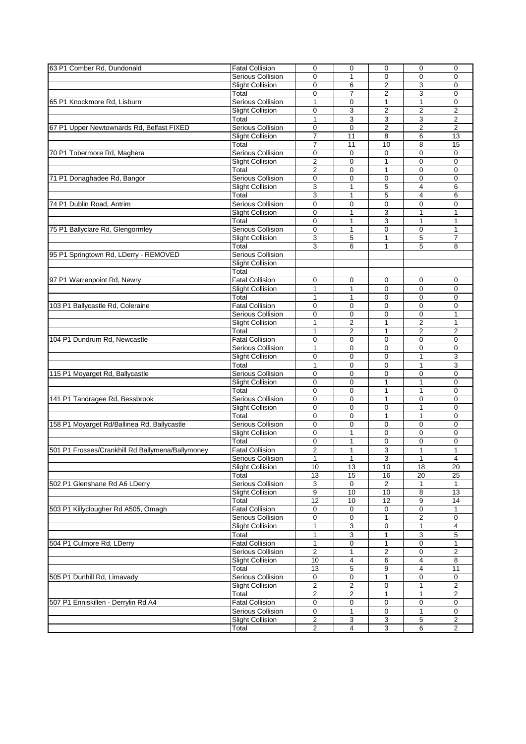| 63 P1 Comber Rd, Dundonald                       | <b>Fatal Collision</b>   | $\mathbf 0$             | $\mathbf 0$             | $\mathbf 0$             | $\mathbf 0$             | $\mathbf 0$             |
|--------------------------------------------------|--------------------------|-------------------------|-------------------------|-------------------------|-------------------------|-------------------------|
|                                                  | Serious Collision        | $\mathbf{0}$            | 1                       | $\mathbf 0$             | $\mathbf{0}$            | $\Omega$                |
|                                                  |                          |                         |                         |                         |                         | $\Omega$                |
|                                                  | <b>Slight Collision</b>  | 0                       | 6                       | $\overline{2}$          | 3                       |                         |
|                                                  | Total                    | 0                       | $\overline{7}$          | $\overline{2}$          | 3                       | 0                       |
| 65 P1 Knockmore Rd, Lisburn                      | <b>Serious Collision</b> | $\mathbf{1}$            | $\mathbf 0$             | $\mathbf{1}$            | $\mathbf{1}$            | $\mathbf 0$             |
|                                                  | <b>Slight Collision</b>  | $\mathbf 0$             | 3                       | $\overline{2}$          | $\overline{2}$          | $\overline{2}$          |
|                                                  | Total                    | $\mathbf{1}$            | 3                       | 3                       | 3                       | $\overline{2}$          |
| 67 P1 Upper Newtownards Rd, Belfast FIXED        | Serious Collision        | 0                       | $\mathbf 0$             | $\overline{2}$          | $\overline{2}$          | $\overline{2}$          |
|                                                  | <b>Slight Collision</b>  | $\overline{7}$          | 11                      | 8                       | 6                       | 13                      |
|                                                  | Total                    | $\overline{7}$          | 11                      | 10                      | 8                       | 15                      |
|                                                  | <b>Serious Collision</b> |                         | $\mathbf 0$             | $\mathbf 0$             | $\mathbf 0$             |                         |
| 70 P1 Tobermore Rd, Maghera                      |                          | 0                       |                         |                         |                         | 0                       |
|                                                  | <b>Slight Collision</b>  | $\overline{2}$          | $\mathbf 0$             | $\mathbf{1}$            | $\mathbf 0$             | $\mathbf 0$             |
|                                                  | Total                    | 2                       | $\mathbf 0$             | 1                       | $\Omega$                | $\mathbf 0$             |
| 71 P1 Donaghadee Rd, Bangor                      | Serious Collision        | 0                       | 0                       | 0                       | $\mathbf 0$             | 0                       |
|                                                  | <b>Slight Collision</b>  | 3                       | $\mathbf{1}$            | 5                       | 4                       | 6                       |
|                                                  | Total                    | 3                       | 1                       | 5                       | 4                       | 6                       |
| 74 P1 Dublin Road, Antrim                        | Serious Collision        | $\overline{0}$          | $\mathbf 0$             | 0                       | $\mathbf 0$             | 0                       |
|                                                  | <b>Slight Collision</b>  | 0                       | 1                       | 3                       | 1                       | 1                       |
|                                                  |                          | 0                       |                         | 3                       |                         | 1                       |
|                                                  | Total                    |                         | 1                       |                         | 1                       |                         |
| 75 P1 Ballyclare Rd, Glengormley                 | <b>Serious Collision</b> | 0                       | $\mathbf{1}$            | $\mathbf 0$             | $\mathbf 0$             | 1                       |
|                                                  | <b>Slight Collision</b>  | 3                       | 5                       | 1                       | 5                       | 7                       |
|                                                  | Total                    | 3                       | 6                       | $\mathbf{1}$            | 5                       | 8                       |
| 95 P1 Springtown Rd, LDerry - REMOVED            | <b>Serious Collision</b> |                         |                         |                         |                         |                         |
|                                                  | <b>Slight Collision</b>  |                         |                         |                         |                         |                         |
|                                                  | Total                    |                         |                         |                         |                         |                         |
| 97 P1 Warrenpoint Rd, Newry                      | <b>Fatal Collision</b>   | 0                       | 0                       | 0                       | 0                       | 0                       |
|                                                  |                          | $\mathbf{1}$            | $\mathbf{1}$            | $\mathbf 0$             | $\Omega$                | $\mathbf 0$             |
|                                                  | <b>Slight Collision</b>  |                         |                         |                         |                         |                         |
|                                                  | Total                    | 1                       | 1                       | $\mathbf 0$             | $\Omega$                | $\mathbf 0$             |
| 103 P1 Ballycastle Rd, Coleraine                 | Fatal Collision          | 0                       | 0                       | $\mathbf 0$             | $\mathbf 0$             | 0                       |
|                                                  | Serious Collision        | 0                       | $\mathbf 0$             | $\mathbf 0$             | $\Omega$                | 1                       |
|                                                  | <b>Slight Collision</b>  | 1                       | 2                       | 1                       | $\overline{c}$          | 1                       |
|                                                  | Total                    | $\mathbf{1}$            | $\overline{2}$          | $\mathbf{1}$            | $\overline{2}$          | $\overline{2}$          |
| 104 P1 Dundrum Rd, Newcastle                     | <b>Fatal Collision</b>   | 0                       | $\mathbf 0$             | $\mathbf 0$             | $\mathbf 0$             | $\mathbf 0$             |
|                                                  | Serious Collision        | 1                       | 0                       | $\mathbf 0$             | $\mathbf 0$             | 0                       |
|                                                  |                          | 0                       | $\Omega$                |                         |                         |                         |
|                                                  | <b>Slight Collision</b>  |                         |                         | $\mathbf 0$             | $\mathbf{1}$            | 3                       |
|                                                  | Total                    | 1                       | 0                       | 0                       | 1                       | 3                       |
| 115 P1 Moyarget Rd, Ballycastle                  | Serious Collision        | $\overline{0}$          | $\mathbf 0$             | $\mathbf 0$             | $\mathbf 0$             | $\mathbf 0$             |
|                                                  | <b>Slight Collision</b>  | 0                       | $\mathbf 0$             | $\mathbf{1}$            | 1                       | $\mathbf 0$             |
|                                                  | Total                    | 0                       | $\mathbf 0$             | 1                       | 1                       | $\mathbf 0$             |
| 141 P1 Tandragee Rd, Bessbrook                   | Serious Collision        | 0                       | $\Omega$                | $\mathbf{1}$            | $\Omega$                | $\mathbf 0$             |
|                                                  | <b>Slight Collision</b>  | 0                       | 0                       | 0                       | 1                       | 0                       |
|                                                  | Total                    | $\overline{0}$          | $\mathbf 0$             | $\mathbf{1}$            | $\mathbf{1}$            | $\mathbf 0$             |
| 158 P1 Moyarget Rd/Ballinea Rd, Ballycastle      | <b>Serious Collision</b> | 0                       | $\mathbf 0$             | $\mathbf 0$             | $\Omega$                | $\mathbf 0$             |
|                                                  |                          |                         |                         |                         |                         |                         |
|                                                  | <b>Slight Collision</b>  | 0                       | $\mathbf{1}$            | $\mathbf 0$             | $\mathbf 0$             | $\mathbf 0$             |
|                                                  | Total                    | 0                       | $\mathbf{1}$            | $\mathbf 0$             | $\Omega$                | $\mathbf 0$             |
| 501 P1 Frosses/Crankhill Rd Ballymena/Ballymoney | <b>Fatal Collision</b>   | 2                       | 1                       | 3                       | 1                       | 1                       |
|                                                  | Serious Collision        | $\mathbf{1}$            | 1                       | 3                       | 1                       | 4                       |
|                                                  | <b>Slight Collision</b>  | 10                      | 13                      | 10                      | 18                      | 20                      |
|                                                  | Total                    | 13                      | 15                      | 16                      | 20                      | 25                      |
| 502 P1 Glenshane Rd A6 LDerry                    | <b>Serious Collision</b> | 3                       | $\mathbf 0$             | $\overline{2}$          | $\mathbf{1}$            | $\mathbf{1}$            |
|                                                  | <b>Slight Collision</b>  | 9                       | 10                      | 10                      | 8                       | 13                      |
|                                                  | Total                    | $\overline{12}$         | 10                      | 12                      | 9                       | 14                      |
|                                                  |                          |                         |                         |                         |                         |                         |
| 503 P1 Killyclougher Rd A505, Omagh              | <b>Fatal Collision</b>   | 0                       | 0                       | 0                       | 0                       | 1                       |
|                                                  | <b>Serious Collision</b> | 0                       | 0                       | $\mathbf{1}$            | $\overline{\mathbf{c}}$ | 0                       |
|                                                  | <b>Slight Collision</b>  | $\mathbf{1}$            | 3                       | $\mathbf 0$             | 1                       | 4                       |
|                                                  | Total                    | 1                       | 3                       | 1                       | 3                       | 5                       |
| 504 P1 Culmore Rd, LDerry                        | <b>Fatal Collision</b>   | 1                       | 0                       | 1                       | 0                       | 1                       |
|                                                  | <b>Serious Collision</b> | $\overline{\mathbf{c}}$ | 1                       | $\overline{\mathbf{c}}$ | $\mathbf 0$             | $\overline{\mathbf{c}}$ |
|                                                  | <b>Slight Collision</b>  | 10                      | 4                       | 6                       | 4                       | 8                       |
|                                                  | Total                    | 13                      | 5                       | 9                       | $\overline{4}$          | 11                      |
| 505 P1 Dunhill Rd, Limavady                      | Serious Collision        | 0                       | 0                       | 1                       | 0                       | 0                       |
|                                                  |                          |                         |                         |                         |                         |                         |
|                                                  | <b>Slight Collision</b>  | $\overline{2}$          | 2                       | 0                       | 1                       | $\overline{2}$          |
|                                                  | Total                    | $\overline{\mathbf{c}}$ | $\overline{\mathbf{c}}$ | 1                       | 1                       | $\overline{\mathbf{c}}$ |
| 507 P1 Enniskillen - Derrylin Rd A4              | <b>Fatal Collision</b>   | 0                       | 0                       | 0                       | 0                       | 0                       |
|                                                  | Serious Collision        | 0                       | $\mathbf{1}$            | 0                       | $\mathbf{1}$            | 0                       |
|                                                  | <b>Slight Collision</b>  | 2                       | 3                       | 3                       | 5                       | 2                       |
|                                                  | Total                    | 2                       | 4                       | 3                       | $6\overline{6}$         | $\overline{2}$          |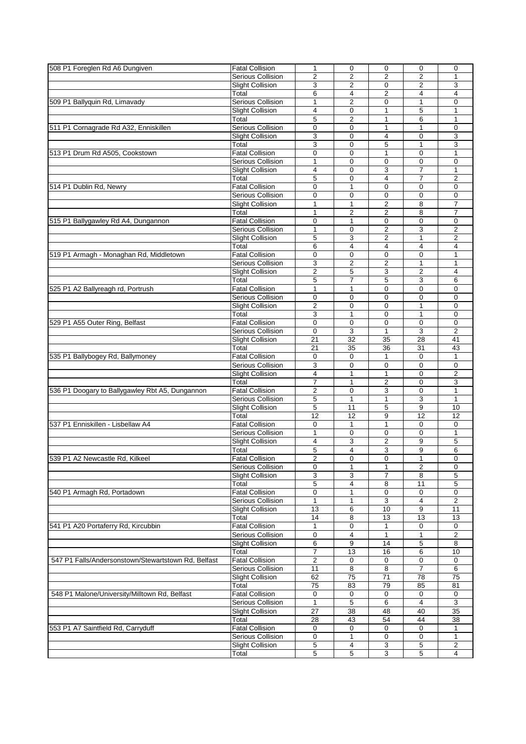| 508 P1 Foreglen Rd A6 Dungiven                      | <b>Fatal Collision</b>   | 1                       | $\mathbf 0$    | $\mathbf 0$    | $\mathbf 0$      | $\mathbf 0$    |
|-----------------------------------------------------|--------------------------|-------------------------|----------------|----------------|------------------|----------------|
|                                                     | Serious Collision        | $\overline{2}$          | 2              | $\overline{2}$ | $\overline{2}$   | 1              |
|                                                     | <b>Slight Collision</b>  | 3                       | 2              | 0              | 2                | 3              |
|                                                     | Total                    | 6                       | $\overline{4}$ | $\overline{2}$ | 4                | 4              |
|                                                     | <b>Serious Collision</b> |                         | $\overline{c}$ | $\mathbf 0$    | $\mathbf{1}$     | 0              |
| 509 P1 Ballyquin Rd, Limavady                       |                          | 1                       |                |                |                  |                |
|                                                     | <b>Slight Collision</b>  | 4                       | 0              | 1              | 5                | 1              |
|                                                     | Total                    | 5                       | $\overline{2}$ | $\mathbf{1}$   | 6                | 1              |
| 511 P1 Cornagrade Rd A32, Enniskillen               | <b>Serious Collision</b> | 0                       | 0              | 1              | 1                | $\mathbf 0$    |
|                                                     | <b>Slight Collision</b>  | 3                       | $\Omega$       | 4              | $\Omega$         | 3              |
|                                                     | Total                    | 3                       | 0              | 5              | $\mathbf{1}$     | 3              |
| 513 P1 Drum Rd A505, Cookstown                      | <b>Fatal Collision</b>   | 0                       | $\mathbf 0$    | 1              | 0                | 1              |
|                                                     | Serious Collision        | 1                       | $\Omega$       | $\mathbf 0$    | $\Omega$         | 0              |
|                                                     | <b>Slight Collision</b>  | 4                       | $\mathbf 0$    | 3              | $\overline{7}$   | 1              |
|                                                     | Total                    | 5                       | $\mathbf 0$    | 4              | $\overline{7}$   | $\overline{2}$ |
| 514 P1 Dublin Rd, Newry                             | <b>Fatal Collision</b>   | 0                       | 1              | $\mathbf 0$    | $\mathbf 0$      | $\mathbf 0$    |
|                                                     | <b>Serious Collision</b> | 0                       | $\mathbf 0$    | $\mathbf 0$    | $\mathbf 0$      | 0              |
|                                                     | <b>Slight Collision</b>  | 1                       | $\mathbf{1}$   | $\overline{2}$ | 8                | $\overline{7}$ |
|                                                     | Total                    | 1                       | 2              | $\overline{2}$ | 8                | 7              |
|                                                     |                          |                         |                |                |                  |                |
| 515 P1 Ballygawley Rd A4, Dungannon                 | <b>Fatal Collision</b>   | $\mathbf 0$             | 1              | $\mathbf 0$    | $\Omega$         | $\mathbf 0$    |
|                                                     | Serious Collision        | $\mathbf{1}$            | 0              | $\overline{2}$ | 3                | $\overline{c}$ |
|                                                     | <b>Slight Collision</b>  | 5                       | 3              | $\overline{2}$ | 1                | 2              |
|                                                     | Total                    | 6                       | 4              | $\overline{4}$ | 4                | 4              |
| 519 P1 Armagh - Monaghan Rd, Middletown             | <b>Fatal Collision</b>   | 0                       | $\mathbf 0$    | $\mathbf 0$    | $\mathbf 0$      | 1              |
|                                                     | Serious Collision        | 3                       | $\overline{2}$ | $\overline{2}$ | $\mathbf{1}$     | 1              |
|                                                     | <b>Slight Collision</b>  | $\overline{2}$          | 5              | 3              | $\overline{2}$   | 4              |
|                                                     | Total                    | 5                       | 7              | 5              | 3                | 6              |
| 525 P1 A2 Ballyreagh rd, Portrush                   | <b>Fatal Collision</b>   | 1                       | 1              | $\mathbf 0$    | $\Omega$         | 0              |
|                                                     | Serious Collision        | 0                       | $\mathbf 0$    | $\mathbf 0$    | $\mathbf 0$      | $\mathbf 0$    |
|                                                     | <b>Slight Collision</b>  | $\overline{2}$          | $\mathbf 0$    | $\Omega$       | 1                | $\mathbf 0$    |
|                                                     | Total                    | 3                       | $\mathbf{1}$   | $\mathbf 0$    | $\mathbf{1}$     | $\mathbf 0$    |
|                                                     |                          |                         |                |                |                  |                |
| 529 P1 A55 Outer Ring, Belfast                      | <b>Fatal Collision</b>   | $\mathbf 0$             | $\mathbf 0$    | $\mathbf 0$    | $\mathbf 0$      | 0              |
|                                                     | Serious Collision        | 0                       | 3              | $\mathbf{1}$   | 3                | $\overline{2}$ |
|                                                     | <b>Slight Collision</b>  | 21                      | 32             | 35             | 28               | 41             |
|                                                     | Total                    | 21                      | 35             | 36             | 31               | 43             |
| 535 P1 Ballybogey Rd, Ballymoney                    | <b>Fatal Collision</b>   | 0                       | $\mathbf 0$    | $\mathbf{1}$   | $\Omega$         | $\mathbf{1}$   |
|                                                     | Serious Collision        | 3                       | $\mathbf 0$    | $\mathbf 0$    | $\mathbf 0$      | 0              |
|                                                     | <b>Slight Collision</b>  | 4                       | 1              | $\mathbf{1}$   | $\Omega$         | 2              |
|                                                     | Total                    | 7                       | 1              | $\overline{2}$ | $\Omega$         | 3              |
| 536 P1 Doogary to Ballygawley Rbt A5, Dungannon     | <b>Fatal Collision</b>   | $\overline{2}$          | 0              | 3              | $\Omega$         | $\mathbf{1}$   |
|                                                     | Serious Collision        | 5                       | $\mathbf{1}$   | $\mathbf{1}$   | 3                | $\mathbf{1}$   |
|                                                     | <b>Slight Collision</b>  | 5                       | 11             | 5              | $\boldsymbol{9}$ | 10             |
|                                                     | Total                    | 12                      | 12             | 9              | 12               | 12             |
| 537 P1 Enniskillen - Lisbellaw A4                   | <b>Fatal Collision</b>   | 0                       | $\mathbf{1}$   | $\mathbf{1}$   | $\Omega$         | $\mathbf 0$    |
|                                                     | <b>Serious Collision</b> | 1                       | $\mathbf 0$    | $\mathbf 0$    | $\Omega$         | 1              |
|                                                     |                          |                         |                |                |                  |                |
|                                                     | <b>Slight Collision</b>  | 4                       | 3              | $\overline{2}$ | 9                | 5              |
|                                                     | Total                    | 5                       | 4              | 3              | 9                | 6              |
| 539 P1 A2 Newcastle Rd, Kilkeel                     | <b>Fatal Collision</b>   | $\overline{\mathbf{c}}$ | 0              | 0              | 1                | 0              |
|                                                     | Serious Collision        | 0                       | $\mathbf{1}$   | $\mathbf{1}$   | 2                | $\mathbf 0$    |
|                                                     | <b>Slight Collision</b>  | 3                       | 3              | $\overline{7}$ | 8                | 5              |
|                                                     | Total                    | 5                       | 4              | 8              | 11               | 5              |
| 540 P1 Armagh Rd, Portadown                         | <b>Fatal Collision</b>   | $\mathbf 0$             | 1              | 0              | 0                | 0              |
|                                                     | Serious Collision        | $\mathbf{1}$            | $\mathbf{1}$   | 3              | 4                | $\overline{2}$ |
|                                                     | <b>Slight Collision</b>  | 13                      | 6              | 10             | 9                | 11             |
|                                                     | Total                    | 14                      | 8              | 13             | 13               | 13             |
| 541 P1 A20 Portaferry Rd, Kircubbin                 | <b>Fatal Collision</b>   | $\mathbf{1}$            | 0              | $\mathbf{1}$   | $\mathbf 0$      | $\mathbf 0$    |
|                                                     | Serious Collision        | $\mathbf 0$             | 4              | 1              | 1                | $\overline{2}$ |
|                                                     | <b>Slight Collision</b>  | 6                       | 9              | 14             | 5                | 8              |
|                                                     | Total                    | 7                       | 13             | 16             | 6                | 10             |
| 547 P1 Falls/Andersonstown/Stewartstown Rd, Belfast |                          |                         |                |                |                  |                |
|                                                     | <b>Fatal Collision</b>   | 2                       | 0              | 0              | 0                | 0              |
|                                                     | Serious Collision        | 11                      | 8              | 8              | $\overline{7}$   | 6              |
|                                                     | <b>Slight Collision</b>  | 62                      | 75             | 71             | 78               | 75             |
|                                                     | Total                    | $\overline{75}$         | 83             | 79             | 85               | 81             |
| 548 P1 Malone/University/Milltown Rd, Belfast       | <b>Fatal Collision</b>   | 0                       | 0              | $\mathbf 0$    | 0                | 0              |
|                                                     | Serious Collision        | 1                       | 5              | 6              | 4                | 3              |
|                                                     | <b>Slight Collision</b>  | 27                      | 38             | 48             | 40               | 35             |
|                                                     | Total                    | 28                      | 43             | 54             | 44               | 38             |
| 553 P1 A7 Saintfield Rd, Carryduff                  | <b>Fatal Collision</b>   | $\mathbf 0$             | $\mathbf 0$    | $\mathbf 0$    | 0                | 1              |
|                                                     | Serious Collision        | 0                       | 1              | 0              | 0                | 1              |
|                                                     | <b>Slight Collision</b>  | 5                       | 4              | 3              | 5                | 2              |
|                                                     | Total                    | 5                       | 5              | 3              | 5                | 4              |
|                                                     |                          |                         |                |                |                  |                |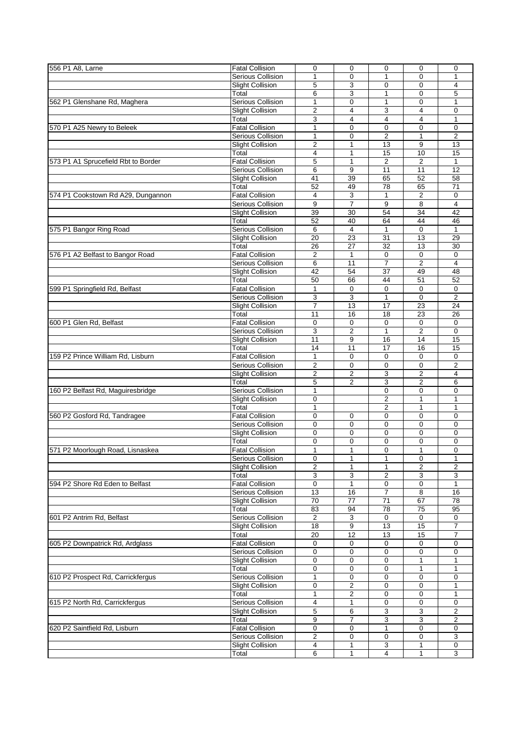| 556 P1 A8, Larne                    | <b>Fatal Collision</b>   | $\mathbf 0$    | $\mathbf 0$             | $\mathbf 0$             | $\mathbf 0$    | $\mathbf 0$     |
|-------------------------------------|--------------------------|----------------|-------------------------|-------------------------|----------------|-----------------|
|                                     | Serious Collision        | $\mathbf{1}$   | $\mathbf 0$             | 1                       | $\Omega$       | 1               |
|                                     | <b>Slight Collision</b>  | 5              | 3                       | $\mathbf 0$             | $\Omega$       | 4               |
|                                     |                          |                |                         |                         |                |                 |
|                                     | Total                    | 6              | 3                       | 1                       | $\mathbf 0$    | 5               |
| 562 P1 Glenshane Rd, Maghera        | <b>Serious Collision</b> | $\mathbf{1}$   | $\mathbf 0$             | $\mathbf{1}$            | $\Omega$       | 1               |
|                                     |                          |                |                         |                         |                |                 |
|                                     | <b>Slight Collision</b>  | $\overline{2}$ | 4                       | 3                       | 4              | 0               |
|                                     | Total                    | 3              | 4                       | $\overline{4}$          | $\overline{4}$ | $\mathbf{1}$    |
|                                     |                          |                |                         |                         |                |                 |
| 570 P1 A25 Newry to Beleek          | <b>Fatal Collision</b>   | 1              | $\mathbf 0$             | $\mathbf 0$             | $\Omega$       | $\mathbf 0$     |
|                                     | Serious Collision        | 1              | 0                       | $\overline{2}$          | 1              | $\overline{c}$  |
|                                     | <b>Slight Collision</b>  | $\overline{2}$ | $\mathbf{1}$            | 13                      | 9              | 13              |
|                                     |                          |                |                         |                         |                |                 |
|                                     | Total                    | 4              | 1                       | 15                      | 10             | 15              |
| 573 P1 A1 Sprucefield Rbt to Border | <b>Fatal Collision</b>   | $\overline{5}$ | $\mathbf{1}$            | $\overline{2}$          | $\overline{2}$ | $\mathbf{1}$    |
|                                     |                          |                |                         |                         |                |                 |
|                                     | <b>Serious Collision</b> | 6              | 9                       | 11                      | 11             | $\overline{12}$ |
|                                     | <b>Slight Collision</b>  | 41             | 39                      | 65                      | 52             | 58              |
|                                     |                          |                |                         |                         |                |                 |
|                                     | Total                    | 52             | 49                      | 78                      | 65             | 71              |
| 574 P1 Cookstown Rd A29, Dungannon  | <b>Fatal Collision</b>   | 4              | 3                       | 1                       | 2              | 0               |
|                                     | Serious Collision        | $\overline{9}$ | $\overline{7}$          | 9                       | $\overline{8}$ | 4               |
|                                     |                          |                |                         |                         |                |                 |
|                                     | <b>Slight Collision</b>  | 39             | $\overline{30}$         | 54                      | 34             | 42              |
|                                     | Total                    | 52             | 40                      | 64                      | 44             | 46              |
|                                     |                          |                |                         |                         |                |                 |
| 575 P1 Bangor Ring Road             | <b>Serious Collision</b> | 6              | $\overline{4}$          | $\mathbf{1}$            | $\mathbf 0$    | $\mathbf{1}$    |
|                                     | <b>Slight Collision</b>  | 20             | 23                      | 31                      | 13             | 29              |
|                                     |                          |                |                         |                         |                |                 |
|                                     | Total                    | 26             | 27                      | 32                      | 13             | 30              |
| 576 P1 A2 Belfast to Bangor Road    | <b>Fatal Collision</b>   | $\overline{c}$ | 1                       | $\mathbf 0$             | $\mathbf 0$    | $\mathbf 0$     |
|                                     | Serious Collision        | 6              | 11                      | $\overline{7}$          | $\overline{2}$ | $\overline{4}$  |
|                                     |                          |                |                         |                         |                |                 |
|                                     | <b>Slight Collision</b>  | 42             | 54                      | 37                      | 49             | 48              |
|                                     | Total                    | 50             | 66                      | 44                      | 51             | 52              |
|                                     |                          |                |                         |                         |                |                 |
| 599 P1 Springfield Rd, Belfast      | <b>Fatal Collision</b>   | $\mathbf{1}$   | $\mathbf 0$             | $\mathbf 0$             | $\Omega$       | $\mathbf 0$     |
|                                     | Serious Collision        | 3              | 3                       | $\mathbf{1}$            | $\mathbf 0$    | $\overline{2}$  |
|                                     |                          | $\overline{7}$ | 13                      | 17                      |                | 24              |
|                                     | <b>Slight Collision</b>  |                |                         |                         | 23             |                 |
|                                     | Total                    | 11             | 16                      | 18                      | 23             | 26              |
| 600 P1 Glen Rd, Belfast             | <b>Fatal Collision</b>   |                |                         |                         |                |                 |
|                                     |                          | 0              | 0                       | 0                       | 0              | 0               |
|                                     | Serious Collision        | 3              | $\overline{2}$          | $\mathbf{1}$            | $\overline{2}$ | $\mathbf 0$     |
|                                     | <b>Slight Collision</b>  | 11             | 9                       | 16                      | 14             | 15              |
|                                     |                          |                |                         |                         |                |                 |
|                                     | Total                    | 14             | 11                      | 17                      | 16             | 15              |
| 159 P2 Prince William Rd, Lisburn   | <b>Fatal Collision</b>   | 1              | $\mathbf 0$             | $\mathbf 0$             | $\Omega$       | $\mathbf 0$     |
|                                     |                          |                |                         |                         |                |                 |
|                                     | Serious Collision        | 2              | 0                       | 0                       | 0              | $\overline{c}$  |
|                                     | <b>Slight Collision</b>  | $\overline{2}$ | 2                       | 3                       | $\overline{2}$ | 4               |
|                                     | Total                    |                | $\overline{2}$          |                         | $\overline{2}$ | 6               |
|                                     |                          | 5              |                         | 3                       |                |                 |
| 160 P2 Belfast Rd, Maguiresbridge   | <b>Serious Collision</b> | $\mathbf{1}$   |                         | 0                       | $\mathbf 0$    | $\mathbf 0$     |
|                                     | <b>Slight Collision</b>  | 0              |                         | $\overline{2}$          | 1              | $\mathbf{1}$    |
|                                     |                          |                |                         |                         |                |                 |
|                                     | Total                    | 1              |                         | 2                       | 1              | 1               |
| 560 P2 Gosford Rd, Tandragee        | <b>Fatal Collision</b>   | $\overline{0}$ | $\mathbf 0$             | $\mathbf 0$             | $\mathbf 0$    | $\mathbf 0$     |
|                                     |                          |                |                         |                         |                |                 |
|                                     | Serious Collision        | $\mathbf 0$    | $\mathbf 0$             | $\mathbf 0$             | $\Omega$       | $\mathbf 0$     |
|                                     | <b>Slight Collision</b>  | 0              | $\mathbf 0$             | $\mathbf 0$             | $\mathbf 0$    | $\mathbf 0$     |
|                                     |                          |                |                         |                         |                |                 |
|                                     | Total                    | 0              | $\mathbf 0$             | $\mathbf 0$             | $\mathbf 0$    | $\mathbf 0$     |
| 571 P2 Moorlough Road, Lisnaskea    | <b>Fatal Collision</b>   | 1              | 1                       | 0                       | 1              | 0               |
|                                     | Serious Collision        |                |                         |                         |                |                 |
|                                     |                          | $\overline{0}$ | 1                       | $\overline{1}$          | $\overline{0}$ | $\mathbf{1}$    |
|                                     | <b>Slight Collision</b>  | $\overline{2}$ | $\mathbf{1}$            | $\mathbf{1}$            | $\overline{2}$ | $\overline{2}$  |
|                                     | Total                    | 3              | 3                       | $\overline{\mathbf{c}}$ | 3              | 3               |
|                                     |                          |                |                         |                         |                |                 |
| 594 P2 Shore Rd Eden to Belfast     | <b>Fatal Collision</b>   | $\mathbf 0$    | 1                       | 0                       | $\mathbf 0$    | $\mathbf{1}$    |
|                                     | Serious Collision        | 13             | 16                      | 7                       | 8              | 16              |
|                                     |                          |                |                         |                         |                |                 |
|                                     | <b>Slight Collision</b>  | 70             | 77                      | 71                      | 67             | 78              |
|                                     | Total                    | 83             | 94                      | 78                      | 75             | 95              |
| 601 P2 Antrim Rd, Belfast           | Serious Collision        | 2              | 3                       | $\mathbf 0$             | 0              | $\mathbf 0$     |
|                                     |                          |                |                         |                         |                |                 |
|                                     | <b>Slight Collision</b>  | 18             | 9                       | 13                      | 15             | $\overline{7}$  |
|                                     | Total                    | 20             | 12                      | 13                      | 15             | 7               |
|                                     |                          |                |                         |                         |                |                 |
| 605 P2 Downpatrick Rd, Ardglass     | <b>Fatal Collision</b>   | 0              | $\mathbf 0$             | $\mathbf 0$             | $\mathbf 0$    | 0               |
|                                     | <b>Serious Collision</b> | 0              | 0                       | 0                       | $\mathbf 0$    | $\mathbf 0$     |
|                                     |                          |                |                         |                         |                |                 |
|                                     | <b>Slight Collision</b>  | 0              | 0                       | 0                       | 1              | 1               |
|                                     | Total                    | 0              | $\mathbf 0$             | $\mathbf 0$             | $\mathbf{1}$   | 1               |
|                                     | Serious Collision        |                |                         |                         |                |                 |
| 610 P2 Prospect Rd, Carrickfergus   |                          | 1              | 0                       | 0                       | 0              | 0               |
|                                     | <b>Slight Collision</b>  | 0              | 2                       | $\mathbf 0$             | 0              | 1               |
|                                     | Total                    | 1              | $\overline{\mathbf{c}}$ | 0                       | $\mathbf 0$    | 1               |
|                                     |                          |                |                         |                         |                |                 |
| 615 P2 North Rd, Carrickfergus      | Serious Collision        | 4              | $\mathbf{1}$            | 0                       | 0              | 0               |
|                                     | <b>Slight Collision</b>  | 5              | 6                       | 3                       | 3              | 2               |
|                                     |                          |                |                         |                         |                |                 |
|                                     | Total                    | 9              | 7                       | 3                       | 3              | 2               |
| 620 P2 Saintfield Rd, Lisburn       | <b>Fatal Collision</b>   | 0              | $\mathbf 0$             | $\mathbf{1}$            | 0              | $\mathbf 0$     |
|                                     |                          |                |                         |                         |                |                 |
|                                     | Serious Collision        | 2              | 0                       | 0                       | $\mathbf 0$    | 3               |
|                                     | <b>Slight Collision</b>  | 4              | 1                       | 3                       | 1              | 0               |
|                                     | Total                    | 6              | $\mathbf{1}$            | $\overline{4}$          | $\mathbf{1}$   | 3               |
|                                     |                          |                |                         |                         |                |                 |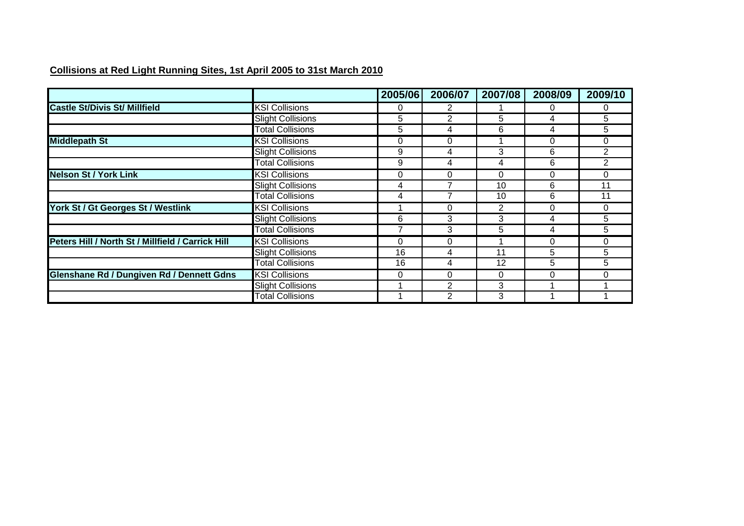### **Collisions at Red Light Running Sites, 1st April 2005 to 31st March 2010**

|                                                   |                          | 2005/06 | 2006/07  | 2007/08 | 2008/09  | 2009/10        |
|---------------------------------------------------|--------------------------|---------|----------|---------|----------|----------------|
| <b>Castle St/Divis St/ Millfield</b>              | <b>KSI Collisions</b>    |         | 2        |         | 0        | 0              |
|                                                   | <b>Slight Collisions</b> | 5       | 2        | 5       | 4        | 5              |
|                                                   | <b>Total Collisions</b>  | 5       | 4        | 6       | 4        | 5              |
| <b>Middlepath St</b>                              | <b>KSI Collisions</b>    | 0       | 0        |         | 0        | 0              |
|                                                   | <b>Slight Collisions</b> | 9       | 4        | 3       | 6        | 2              |
|                                                   | <b>Total Collisions</b>  | 9       | 4        | 4       | 6        | $\overline{2}$ |
| <b>Nelson St / York Link</b>                      | <b>KSI Collisions</b>    | 0       | $\Omega$ | 0       | $\Omega$ | $\Omega$       |
|                                                   | <b>Slight Collisions</b> | 4       |          | 10      | 6        | 11             |
|                                                   | <b>Total Collisions</b>  | 4       |          | 10      | 6        | 11             |
| York St / Gt Georges St / Westlink                | <b>KSI Collisions</b>    |         | 0        | 2       | 0        | $\Omega$       |
|                                                   | <b>Slight Collisions</b> | 6       | 3        | 3       | 4        | 5              |
|                                                   | <b>Total Collisions</b>  |         | 3        | 5       | 4        | 5              |
| Peters Hill / North St / Millfield / Carrick Hill | <b>KSI Collisions</b>    | ი       | 0        |         | 0        | 0              |
|                                                   | <b>Slight Collisions</b> | 16      | 4        | 11      | 5        | 5              |
|                                                   | <b>Total Collisions</b>  | 16      | 4        | 12      | 5        | 5              |
| Glenshane Rd / Dungiven Rd / Dennett Gdns         | <b>KSI Collisions</b>    | 0       | 0        | 0       | 0        | 0              |
|                                                   | <b>Slight Collisions</b> |         | 2        | 3       |          |                |
|                                                   | <b>Total Collisions</b>  |         | 2        | 3       |          |                |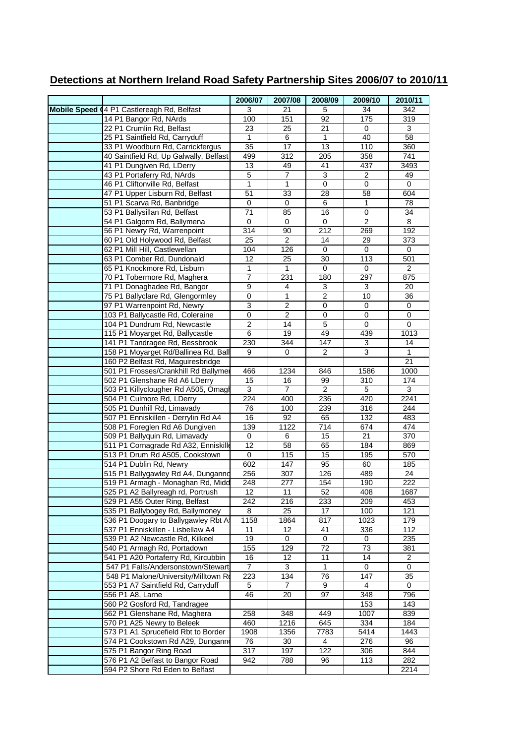|                                                                         | 2006/07         | 2007/08        | 2008/09        | 2009/10        | 2010/11        |
|-------------------------------------------------------------------------|-----------------|----------------|----------------|----------------|----------------|
| Mobile Speed 04 P1 Castlereagh Rd, Belfast                              | 3               | 21             | 5              | 34             | 342            |
| 14 P1 Bangor Rd, NArds                                                  | 100             | 151            | 92             | 175            | 319            |
| 22 P1 Crumlin Rd, Belfast                                               | 23              | 25             | 21             | 0              | 3              |
| 25 P1 Saintfield Rd, Carryduff                                          | $\mathbf{1}$    | 6              | 1              | 40             | 58             |
| 33 P1 Woodburn Rd, Carrickfergus                                        | 35              | 17             | 13             | 110            | 360            |
| 40 Saintfield Rd, Up Galwally, Belfast                                  | 499             | 312            | 205            | 358            | 741            |
| 41 P1 Dungiven Rd, LDerry                                               | 13              | 49             | 41             | 437            | 3493           |
| 43 P1 Portaferry Rd, NArds                                              | $\overline{5}$  | $\overline{7}$ | 3              | $\overline{2}$ | 49             |
| 46 P1 Cliftonville Rd, Belfast                                          | 1               | $\mathbf{1}$   | 0              | 0              | 0              |
| 47 P1 Upper Lisburn Rd, Belfast                                         | 51              | 33             | 28             | 58             | 604            |
| 51 P1 Scarva Rd, Banbridge                                              | 0               | $\mathbf 0$    | 6              | 1              | 78             |
| 53 P1 Ballysillan Rd, Belfast                                           | $\overline{71}$ | 85             | 16             | $\mathbf 0$    | 34             |
| 54 P1 Galgorm Rd, Ballymena                                             | $\mathbf 0$     | 0              | $\pmb{0}$      | $\overline{2}$ | 8              |
| 56 P1 Newry Rd, Warrenpoint                                             | 314             | 90             | 212            | 269            | 192            |
| 60 P1 Old Holywood Rd, Belfast                                          | $\overline{25}$ | $\overline{2}$ | 14             | 29             | 373            |
| 62 P1 Mill Hill, Castlewellan                                           | 104             | 126            | 0              | 0              | 0              |
| 63 P1 Comber Rd, Dundonald                                              | 12              | 25             | 30             | 113            | 501            |
| 65 P1 Knockmore Rd, Lisburn                                             | $\mathbf{1}$    | $\mathbf{1}$   | 0              | 0              | $\overline{c}$ |
| 70 P1 Tobermore Rd, Maghera                                             | $\overline{7}$  | 231            | 180            | 297            | 875            |
| 71 P1 Donaghadee Rd, Bangor                                             | $\overline{9}$  | 4              | 3              | 3              | 20             |
| 75 P1 Ballyclare Rd, Glengormley                                        | $\pmb{0}$       | $\mathbf{1}$   | $\overline{2}$ | 10             | 36             |
| 97 P1 Warrenpoint Rd, Newry                                             | 3               | $\overline{2}$ | $\pmb{0}$      | 0              | 0              |
| 103 P1 Ballycastle Rd, Coleraine                                        | 0               | $\overline{2}$ | 0              | 0              | 0              |
| 104 P1 Dundrum Rd, Newcastle                                            | $\overline{2}$  | 14             | 5              | $\mathbf 0$    | $\mathbf 0$    |
| 115 P1 Moyarget Rd, Ballycastle                                         | 6               | 19             | 49             | 439            | 1013           |
| 141 P1 Tandragee Rd, Bessbrook                                          | 230             | 344            | 147            | 3              | 14             |
| 158 P1 Moyarget Rd/Ballinea Rd, Ball                                    | 9               | 0              | 2              | 3              | 1              |
| 160 P2 Belfast Rd, Maguiresbridge                                       |                 |                |                |                | 21             |
| 501 P1 Frosses/Crankhill Rd Ballymer                                    | 466             | 1234           | 846            | 1586           | 1000           |
| 502 P1 Glenshane Rd A6 LDerry                                           | 15              | 16             | 99             | 310            | 174            |
| 503 P1 Killyclougher Rd A505, Omagl                                     | 3               | $\overline{7}$ | $\overline{2}$ | 5              | 3              |
| 504 P1 Culmore Rd, LDerry                                               | 224             | 400            | 236            | 420            | 2241           |
| 505 P1 Dunhill Rd, Limavady                                             | 76              | 100            | 239            | 316            | 244            |
| 507 P1 Enniskillen - Derrylin Rd A4                                     | 16              | 92             | 65             | 132            | 483            |
| 508 P1 Foreglen Rd A6 Dungiven                                          | 139             | 1122           | 714            | 674            | 474            |
| 509 P1 Ballyquin Rd, Limavady                                           | 0               | 6              | 15             | 21             | 370            |
| 511 P1 Cornagrade Rd A32, Enniskill                                     | $\overline{12}$ | 58             | 65             | 184            | 869            |
| 513 P1 Drum Rd A505, Cookstown                                          | 0               | 115            | 15             | 195            | 570            |
| 514 P1 Dublin Rd, Newry                                                 | 602             | 147            | 95             | 60             | 185            |
| 515 P1 Ballygawley Rd A4, Dunganno                                      | 256             | 307            | 126            | 489            | 24             |
| 519 P1 Armagh - Monaghan Rd, Midd                                       | 248             | 277            | 154            | 190            | 222            |
| 525 P1 A2 Ballyreagh rd, Portrush                                       | 12<br>242       | 11             | 52<br>233      | 408<br>209     | 1687           |
| 529 P1 A55 Outer Ring, Belfast                                          |                 | 216            |                |                | 453            |
| 535 P1 Ballybogey Rd, Ballymoney<br>536 P1 Doogary to Ballygawley Rbt A | 8<br>1158       | 25<br>1864     | 17<br>817      | 100<br>1023    | 121<br>179     |
| 537 P1 Enniskillen - Lisbellaw A4                                       | 11              | 12             | 41             | 336            | 112            |
| 539 P1 A2 Newcastle Rd, Kilkeel                                         | 19              | 0              | 0              | 0              | 235            |
| 540 P1 Armagh Rd, Portadown                                             | 155             | 129            | 72             | 73             | 381            |
| 541 P1 A20 Portaferry Rd, Kircubbin                                     | 16              | 12             | 11             | 14             | 2              |
| 547 P1 Falls/Andersonstown/Stewart                                      | $\overline{7}$  | 3              | 1              | 0              | 0              |
| 548 P1 Malone/University/Milltown Ro                                    | 223             | 134            | 76             | 147            | 35             |
| 553 P1 A7 Saintfield Rd, Carryduff                                      | 5               | 7              | 9              | 4              | 0              |
| 556 P1 A8, Larne                                                        | 46              | 20             | 97             | 348            | 796            |
| 560 P2 Gosford Rd, Tandragee                                            |                 |                |                | 153            | 143            |
| 562 P1 Glenshane Rd, Maghera                                            | 258             | 348            | 449            | 1007           | 839            |
| 570 P1 A25 Newry to Beleek                                              | 460             | 1216           | 645            | 334            | 184            |
| 573 P1 A1 Sprucefield Rbt to Border                                     | 1908            | 1356           | 7783           | 5414           | 1443           |
| 574 P1 Cookstown Rd A29, Dungann                                        | 76              | 30             | 4              | 276            | 96             |
| 575 P1 Bangor Ring Road                                                 | 317             | 197            | 122            | 306            | 844            |
| 576 P1 A2 Belfast to Bangor Road                                        | 942             | 788            | 96             | 113            | 282            |
| 594 P2 Shore Rd Eden to Belfast                                         |                 |                |                |                | 2214           |

## **Detections at Northern Ireland Road Safety Partnership Sites 2006/07 to 2010/11**